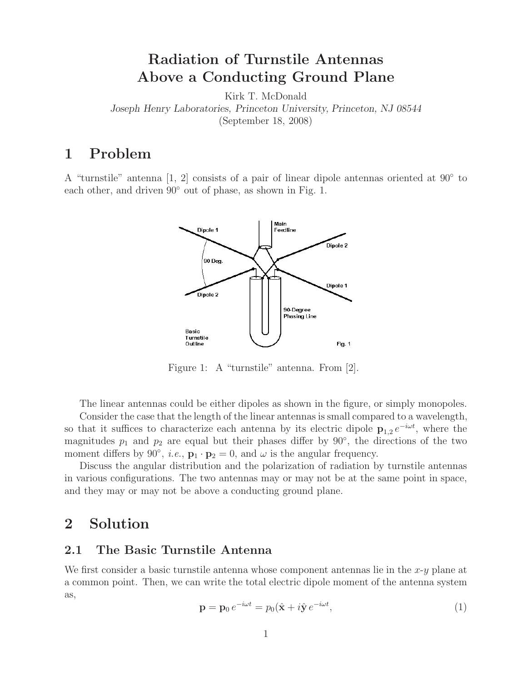# **Radiation of Turnstile Antennas Above a Conducting Ground Plane**

Kirk T. McDonald

*Joseph Henry Laboratories, Princeton University, Princeton, NJ 08544*

(September 18, 2008)

## **1 Problem**

A "turnstile" antenna [1, 2] consists of a pair of linear dipole antennas oriented at  $90°$  to each other, and driven 90◦ out of phase, as shown in Fig. 1.



Figure 1: A "turnstile" antenna. From [2].

The linear antennas could be either dipoles as shown in the figure, or simply monopoles.

Consider the case that the length of the linear antennas is small compared to a wavelength, so that it suffices to characterize each antenna by its electric dipole  $\mathbf{p}_{1,2} e^{-i\omega t}$ , where the magnitudes  $p_1$  and  $p_2$  are equal but their phases differ by  $90°$ , the directions of the two moment differs by 90<sup>°</sup>, *i.e.*,  $\mathbf{p}_1 \cdot \mathbf{p}_2 = 0$ , and  $\omega$  is the angular frequency.

Discuss the angular distribution and the polarization of radiation by turnstile antennas in various configurations. The two antennas may or may not be at the same point in space, and they may or may not be above a conducting ground plane.

## **2 Solution**

#### **2.1 The Basic Turnstile Antenna**

We first consider a basic turnstile antenna whose component antennas lie in the  $x-y$  plane at a common point. Then, we can write the total electric dipole moment of the antenna system as,

$$
\mathbf{p} = \mathbf{p}_0 e^{-i\omega t} = p_0(\hat{\mathbf{x}} + i\hat{\mathbf{y}} e^{-i\omega t}, \tag{1}
$$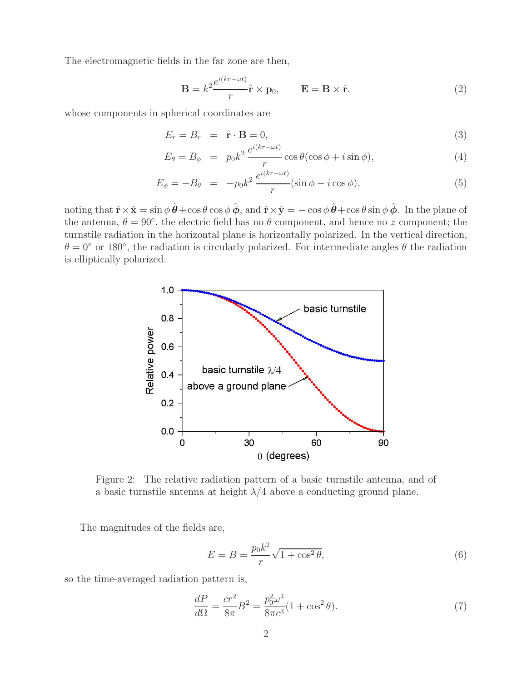The electromagnetic fields in the far zone are then,

$$
\mathbf{B} = k^2 \frac{e^{i(kr - \omega t)}}{r} \hat{\mathbf{r}} \times \mathbf{p}_0, \qquad \mathbf{E} = \mathbf{B} \times \hat{\mathbf{r}}, \tag{2}
$$

whose components in spherical coordinates are

$$
E_r = B_r = \hat{\mathbf{r}} \cdot \mathbf{B} = 0,
$$
\n(3)

$$
E_{\theta} = B_{\phi} = p_0 k^2 \frac{e^{i(kr - \omega t)}}{r} \cos \theta (\cos \phi + i \sin \phi), \tag{4}
$$

$$
E_{\phi} = -B_{\theta} = -p_0 k^2 \frac{e^{i(kr - \omega t)}}{r} (\sin \phi - i \cos \phi), \tag{5}
$$

noting that  $\hat{\mathbf{r}} \times \hat{\mathbf{x}} = \sin \phi \, \hat{\boldsymbol{\theta}} + \cos \theta \cos \phi \, \hat{\boldsymbol{\phi}}, \text{ and } \hat{\mathbf{r}} \times \hat{\mathbf{y}} = -\cos \phi \, \hat{\boldsymbol{\theta}} + \cos \theta \sin \phi \, \hat{\boldsymbol{\phi}}.$  In the plane of the antenna,  $\theta = 90^{\circ}$ , the electric field has no  $\theta$  component, and hence no z component; the turnstile radiation in the horizontal plane is horizontally polarized. In the vertical direction,  $\theta = 0^{\circ}$  or 180°, the radiation is circularly polarized. For intermediate angles  $\theta$  the radiation is elliptically polarized.



Figure 2: The relative radiation pattern of a basic turnstile antenna, and of a basic turnstile antenna at height  $\lambda/4$  above a conducting ground plane.

The magnitudes of the fields are,

$$
E = B = \frac{p_0 k^2}{r} \sqrt{1 + \cos^2 \theta},\tag{6}
$$

so the time-averaged radiation pattern is,

$$
\frac{dP}{d\Omega} = \frac{cr^2}{8\pi}B^2 = \frac{p_0^2\omega^4}{8\pi c^3}(1 + \cos^2\theta). \tag{7}
$$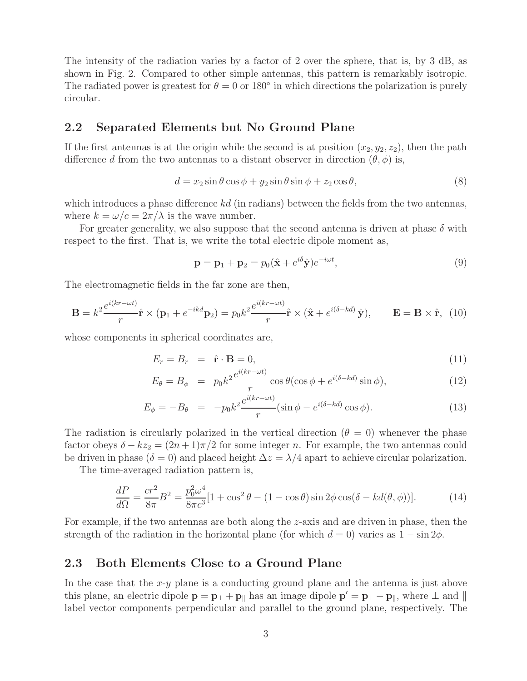The intensity of the radiation varies by a factor of 2 over the sphere, that is, by 3 dB, as shown in Fig. 2. Compared to other simple antennas, this pattern is remarkably isotropic. The radiated power is greatest for  $\theta = 0$  or 180 $\degree$  in which directions the polarization is purely circular.

#### **2.2 Separated Elements but No Ground Plane**

If the first antennas is at the origin while the second is at position  $(x_2, y_2, z_2)$ , then the path difference d from the two antennas to a distant observer in direction  $(\theta, \phi)$  is,

$$
d = x_2 \sin \theta \cos \phi + y_2 \sin \theta \sin \phi + z_2 \cos \theta, \tag{8}
$$

which introduces a phase difference  $kd$  (in radians) between the fields from the two antennas, where  $k = \omega/c = 2\pi/\lambda$  is the wave number.

For greater generality, we also suppose that the second antenna is driven at phase  $\delta$  with respect to the first. That is, we write the total electric dipole moment as,

$$
\mathbf{p} = \mathbf{p}_1 + \mathbf{p}_2 = p_0(\hat{\mathbf{x}} + e^{i\delta}\hat{\mathbf{y}})e^{-i\omega t},\tag{9}
$$

The electromagnetic fields in the far zone are then,

$$
\mathbf{B} = k^2 \frac{e^{i(kr - \omega t)}}{r} \hat{\mathbf{r}} \times (\mathbf{p}_1 + e^{-ikd} \mathbf{p}_2) = p_0 k^2 \frac{e^{i(kr - \omega t)}}{r} \hat{\mathbf{r}} \times (\hat{\mathbf{x}} + e^{i(\delta - kd)} \hat{\mathbf{y}}), \qquad \mathbf{E} = \mathbf{B} \times \hat{\mathbf{r}}, \tag{10}
$$

whose components in spherical coordinates are,

$$
E_r = B_r = \hat{\mathbf{r}} \cdot \mathbf{B} = 0, \tag{11}
$$

$$
E_{\theta} = B_{\phi} = p_0 k^2 \frac{e^{i(kr - \omega t)}}{r} \cos \theta (\cos \phi + e^{i(\delta - kd)} \sin \phi), \qquad (12)
$$

$$
E_{\phi} = -B_{\theta} = -p_0 k^2 \frac{e^{i(kr - \omega t)}}{r} (\sin \phi - e^{i(\delta - kd)} \cos \phi). \tag{13}
$$

The radiation is circularly polarized in the vertical direction  $(\theta = 0)$  whenever the phase factor obeys  $\delta - kz_2 = (2n+1)\pi/2$  for some integer n. For example, the two antennas could be driven in phase ( $\delta = 0$ ) and placed height  $\Delta z = \lambda/4$  apart to achieve circular polarization.

The time-averaged radiation pattern is,

$$
\frac{dP}{d\Omega} = \frac{cr^2}{8\pi}B^2 = \frac{p_0^2\omega^4}{8\pi c^3}[1 + \cos^2\theta - (1 - \cos\theta)\sin 2\phi\cos(\delta - kd(\theta, \phi))].\tag{14}
$$

For example, if the two antennas are both along the z-axis and are driven in phase, then the strength of the radiation in the horizontal plane (for which  $d = 0$ ) varies as  $1 - \sin 2\phi$ .

#### **2.3 Both Elements Close to a Ground Plane**

In the case that the  $x-y$  plane is a conducting ground plane and the antenna is just above this plane, an electric dipole  $\mathbf{p} = \mathbf{p}_{\perp} + \mathbf{p}_{\parallel}$  has an image dipole  $\mathbf{p}' = \mathbf{p}_{\perp} - \mathbf{p}_{\parallel}$ , where  $\perp$  and  $\parallel$ label vector components perpendicular and parallel to the ground plane, respectively. The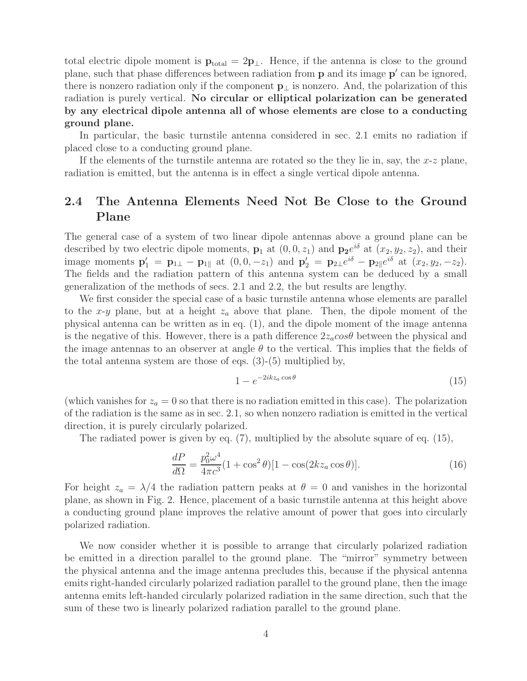total electric dipole moment is  $\mathbf{p}_{total} = 2\mathbf{p}_{\perp}$ . Hence, if the antenna is close to the ground plane, such that phase differences between radiation from **p** and its image **p** can be ignored, there is nonzero radiation only if the component **p**<sup>⊥</sup> is nonzero. And, the polarization of this radiation is purely vertical. **No circular or elliptical polarization can be generated by any electrical dipole antenna all of whose elements are close to a conducting ground plane.**

In particular, the basic turnstile antenna considered in sec. 2.1 emits no radiation if placed close to a conducting ground plane.

If the elements of the turnstile antenna are rotated so the they lie in, say, the  $x-z$  plane, radiation is emitted, but the antenna is in effect a single vertical dipole antenna.

### **2.4 The Antenna Elements Need Not Be Close to the Ground Plane**

The general case of a system of two linear dipole antennas above a ground plane can be described by two electric dipole moments,  $\mathbf{p}_1$  at  $(0, 0, z_1)$  and  $\mathbf{p}_2e^{i\delta}$  at  $(x_2, y_2, z_2)$ , and their image moments  $\mathbf{p}'_1 = \mathbf{p}_{1\perp} - \mathbf{p}_{1\parallel}$  at  $(0, 0, -z_1)$  and  $\mathbf{p}'_2 = \mathbf{p}_{2\perp}e^{i\delta} - \mathbf{p}_{2\parallel}e^{i\delta}$  at  $(x_2, y_2, -z_2)$ . The fields and the radiation pattern of this antenna system can be deduced by a small generalization of the methods of secs. 2.1 and 2.2, the but results are lengthy.

We first consider the special case of a basic turnstile antenna whose elements are parallel to the x-y plane, but at a height  $z_a$  above that plane. Then, the dipole moment of the physical antenna can be written as in eq. (1), and the dipole moment of the image antenna is the negative of this. However, there is a path difference  $2z_a\cos\theta$  between the physical and the image antennas to an observer at angle  $\theta$  to the vertical. This implies that the fields of the total antenna system are those of eqs. (3)-(5) multiplied by,

$$
1 - e^{-2ikz_a \cos \theta} \tag{15}
$$

(which vanishes for  $z_a = 0$  so that there is no radiation emitted in this case). The polarization of the radiation is the same as in sec. 2.1, so when nonzero radiation is emitted in the vertical direction, it is purely circularly polarized.

The radiated power is given by eq. (7), multiplied by the absolute square of eq. (15),

$$
\frac{dP}{d\Omega} = \frac{p_0^2 \omega^4}{4\pi c^3} (1 + \cos^2 \theta) [1 - \cos(2kz_a \cos \theta)].
$$
\n(16)

For height  $z_a = \lambda/4$  the radiation pattern peaks at  $\theta = 0$  and vanishes in the horizontal plane, as shown in Fig. 2. Hence, placement of a basic turnstile antenna at this height above a conducting ground plane improves the relative amount of power that goes into circularly polarized radiation.

We now consider whether it is possible to arrange that circularly polarized radiation be emitted in a direction parallel to the ground plane. The "mirror" symmetry between the physical antenna and the image antenna precludes this, because if the physical antenna emits right-handed circularly polarized radiation parallel to the ground plane, then the image antenna emits left-handed circularly polarized radiation in the same direction, such that the sum of these two is linearly polarized radiation parallel to the ground plane.